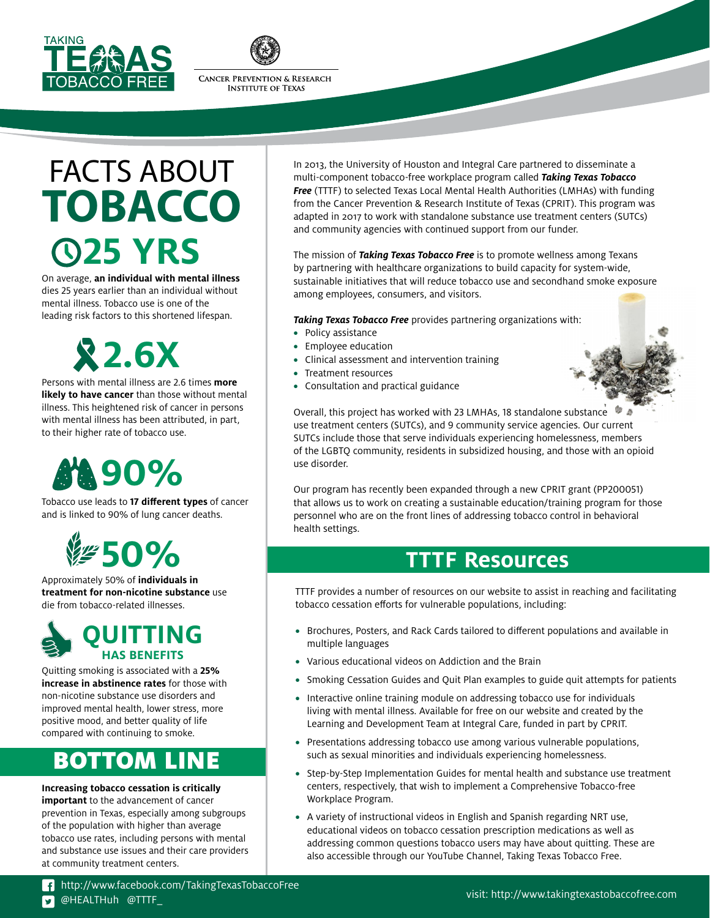



## FACTS ABOUT **TOBACCO 25 YRS**

On average, **an individual with mental illness** dies 25 years earlier than an individual without mental illness. Tobacco use is one of the leading risk factors to this shortened lifespan.

# **2.6X**

Persons with mental illness are 2.6 times **more likely to have cancer** than those without mental illness. This heightened risk of cancer in persons with mental illness has been attributed, in part, to their higher rate of tobacco use.

# **90%**

Tobacco use leads to **17 different types** of cancer and is linked to 90% of lung cancer deaths.



Approximately 50% of **individuals in treatment for non-nicotine substance** use die from tobacco-related illnesses.



Quitting smoking is associated with a **25% increase in abstinence rates** for those with non-nicotine substance use disorders and improved mental health, lower stress, more positive mood, and better quality of life compared with continuing to smoke.

## BOTTOM LINE

#### **Increasing tobacco cessation is critically**

**important** to the advancement of cancer prevention in Texas, especially among subgroups of the population with higher than average tobacco use rates, including persons with mental and substance use issues and their care providers at community treatment centers.

In 2013, the University of Houston and Integral Care partnered to disseminate a multi-component tobacco-free workplace program called *Taking Texas Tobacco Free* (TTTF) to selected Texas Local Mental Health Authorities (LMHAs) with funding from the Cancer Prevention & Research Institute of Texas (CPRIT). This program was adapted in 2017 to work with standalone substance use treatment centers (SUTCs) and community agencies with continued support from our funder.

The mission of *Taking Texas Tobacco Free* is to promote wellness among Texans by partnering with healthcare organizations to build capacity for system-wide, sustainable initiatives that will reduce tobacco use and secondhand smoke exposure among employees, consumers, and visitors.

*Taking Texas Tobacco Free* provides partnering organizations with:

- **•** Policy assistance
- **•** Employee education
- **•** Clinical assessment and intervention training
- **•** Treatment resources
- **•** Consultation and practical guidance



Our program has recently been expanded through a new CPRIT grant (PP200051) that allows us to work on creating a sustainable education/training program for those personnel who are on the front lines of addressing tobacco control in behavioral health settings.

## **TTTF Resources**

TTTF provides a number of resources on our website to assist in reaching and facilitating tobacco cessation efforts for vulnerable populations, including:

- **•** Brochures, Posters, and Rack Cards tailored to different populations and available in multiple languages
- **•** Various educational videos on Addiction and the Brain
- **•** Smoking Cessation Guides and Quit Plan examples to guide quit attempts for patients
- **•** Interactive online training module on addressing tobacco use for individuals living with mental illness. Available for free on our website and created by the Learning and Development Team at Integral Care, funded in part by CPRIT.
- **•** Presentations addressing tobacco use among various vulnerable populations, such as sexual minorities and individuals experiencing homelessness.
- **•** Step-by-Step Implementation Guides for mental health and substance use treatment centers, respectively, that wish to implement a Comprehensive Tobacco-free Workplace Program.
- **•** A variety of instructional videos in English and Spanish regarding NRT use, educational videos on tobacco cessation prescription medications as well as addressing common questions tobacco users may have about quitting. These are also accessible through our YouTube Channel, Taking Texas Tobacco Free.